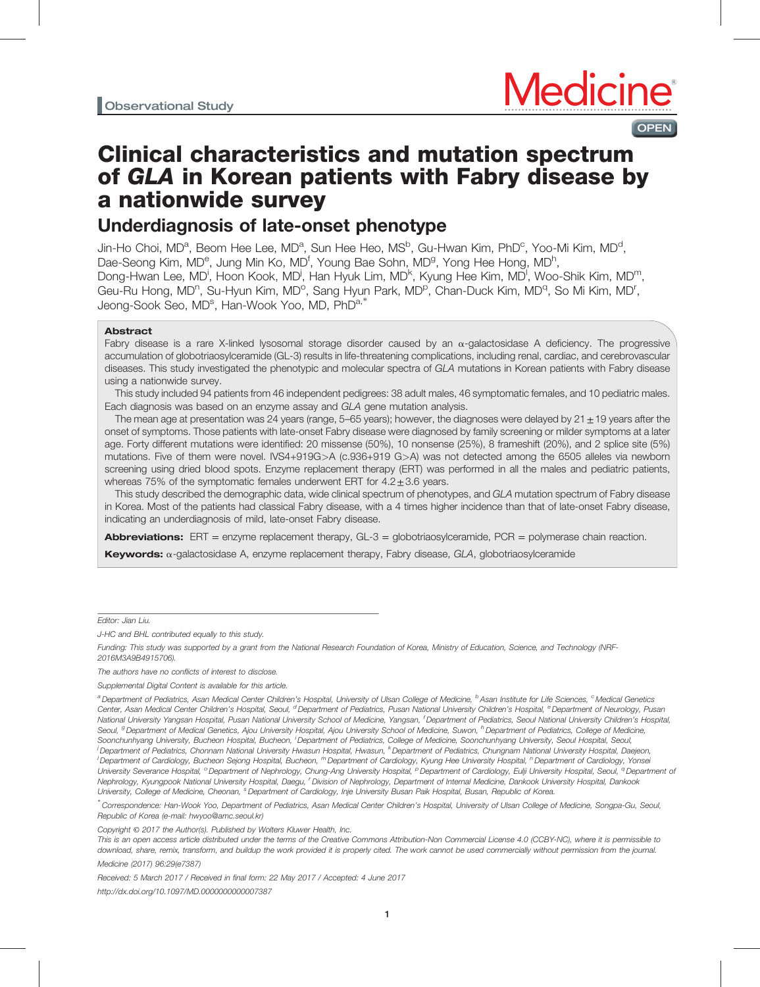

# Clinical characteristics and mutation spectrum of GLA in Korean patients with Fabry disease by a nationwide survey

# Underdiagnosis of late-onset phenotype

Jin-Ho Choi, MD<sup>a</sup>, Beom Hee Lee, MD<sup>a</sup>, Sun Hee Heo, MS<sup>b</sup>, Gu-Hwan Kim, PhD<sup>c</sup>, Yoo-Mi Kim, MD<sup>d</sup>, Dae-Seong Kim, MD<sup>e</sup>, Jung Min Ko, MD<sup>f</sup>, Young Bae Sohn, MD<sup>g</sup>, Yong Hee Hong, MD<sup>h</sup>, Dong-Hwan Lee, MD<sup>i</sup>, Hoon Kook, MD<sup>j</sup>, Han Hyuk Lim, MD<sup>k</sup>, Kyung Hee Kim, MD<sup>I</sup>, Woo-Shik Kim, MD<sup>m</sup>, Geu-Ru Hong, MD<sup>n</sup>, Su-Hyun Kim, MD<sup>o</sup>, Sang Hyun Park, MD<sup>p</sup>, Chan-Duck Kim, MD<sup>q</sup>, So Mi Kim, MD<sup>r</sup>, Jeong-Sook Seo, MD<sup>s</sup>, Han-Wook Yoo, MD, PhD<sup>a,∗</sup>

## Abstract

Fabry disease is a rare X-linked lysosomal storage disorder caused by an  $\alpha$ -galactosidase A deficiency. The progressive accumulation of globotriaosylceramide (GL-3) results in life-threatening complications, including renal, cardiac, and cerebrovascular diseases. This study investigated the phenotypic and molecular spectra of GLA mutations in Korean patients with Fabry disease using a nationwide survey.

This study included 94 patients from 46 independent pedigrees: 38 adult males, 46 symptomatic females, and 10 pediatric males. Each diagnosis was based on an enzyme assay and GLA gene mutation analysis.

The mean age at presentation was 24 years (range,  $5-65$  years); however, the diagnoses were delayed by  $21 \pm 19$  years after the onset of symptoms. Those patients with late-onset Fabry disease were diagnosed by family screening or milder symptoms at a later age. Forty different mutations were identified: 20 missense (50%), 10 nonsense (25%), 8 frameshift (20%), and 2 splice site (5%) mutations. Five of them were novel. IVS4+919G>A (c.936+919 G>A) was not detected among the 6505 alleles via newborn screening using dried blood spots. Enzyme replacement therapy (ERT) was performed in all the males and pediatric patients, whereas 75% of the symptomatic females underwent ERT for  $4.2 \pm 3.6$  years.

This study described the demographic data, wide clinical spectrum of phenotypes, and GLA mutation spectrum of Fabry disease in Korea. Most of the patients had classical Fabry disease, with a 4 times higher incidence than that of late-onset Fabry disease, indicating an underdiagnosis of mild, late-onset Fabry disease.

**Abbreviations:** ERT = enzyme replacement therapy,  $GL-3$  = globotriaosylceramide, PCR = polymerase chain reaction. **Keywords:**  $\alpha$ -galactosidase A, enzyme replacement therapy, Fabry disease, GLA, globotriaosylceramide

Editor: Jian Liu.

J-HC and BHL contributed equally to this study.

Funding: This study was supported by a grant from the National Research Foundation of Korea, Ministry of Education, Science, and Technology (NRF-2016M3A9B4915706).

The authors have no conflicts of interest to disclose.

Supplemental Digital Content is available for this article.

∗ Correspondence: Han-Wook Yoo, Department of Pediatrics, Asan Medical Center Children's Hospital, University of Ulsan College of Medicine, Songpa-Gu, Seoul, Republic of Korea (e-mail: [hwyoo@amc.seoul.kr\)](mailto:hwyoo@amc.seoul.kr))

Copyright © 2017 the Author(s). Published by Wolters Kluwer Health, Inc.

This is an open access article distributed under the terms of the [Creative Commons Attribution-Non Commercial License 4.0](http://creativecommons.org/licenses/by-nc/4.0) (CCBY-NC), where it is permissible to download, share, remix, transform, and buildup the work provided it is properly cited. The work cannot be used commercially without permission from the journal.

Medicine (2017) 96:29(e7387)

Received: 5 March 2017 / Received in final form: 22 May 2017 / Accepted: 4 June 2017 <http://dx.doi.org/10.1097/MD.0000000000007387>

<sup>&</sup>lt;sup>a</sup> Department of Pediatrics, Asan Medical Center Children's Hospital, University of Ulsan College of Medicine, <sup>b</sup> Asan Institute for Life Sciences, <sup>c</sup> Medical Genetics Center, Asan Medical Center Children's Hospital, Seoul, <sup>d</sup> Department of Pediatrics, Pusan National University Children's Hospital, <sup>e</sup> Department of Neurology, Pusan National University Yangsan Hospital, Pusan National University School of Medicine, Yangsan, <sup>f</sup> Department of Pediatrics, Seoul National University Children's Hospital, Seoul, <sup>g</sup> Department of Medical Genetics, Ajou University Hospital, Ajou University School of Medicine, Suwon, <sup>h</sup> Department of Pediatrics, College of Medicine, Soonchunhyang University, Bucheon Hospital, Bucheon, <sup>i</sup> Department of Pediatrics, College of Medicine, Soonchunhyang University, Seoul Hospital, Seoul, j <sup>i</sup> Department of Pediatrics, Chonnam National University Hwasun Hospital, Hwasun, <sup>k</sup> Department of Pediatrics, Chungnam National University Hospital, Daejeon, l <sup>1</sup> Department of Cardiology, Bucheon Sejong Hospital, Bucheon, <sup>m</sup> Department of Cardiology, Kyung Hee University Hospital, <sup>n</sup> Department of Cardiology, Yonsei University Severance Hospital, <sup>o</sup> Department of Nephrology, Chung-Ang University Hospital, <sup>p</sup> Department of Cardiology, Eulji University Hospital, Seoul, <sup>q</sup> Department of Nephrology, Kyungpook National University Hospital, Daegu, <sup>r</sup> Division of Nephrology, Department of Internal Medicine, Dankook University Hospital, Dankook University, College of Medicine, Cheonan, <sup>s</sup> Department of Cardiology, Inje University Busan Paik Hospital, Busan, Republic of Korea.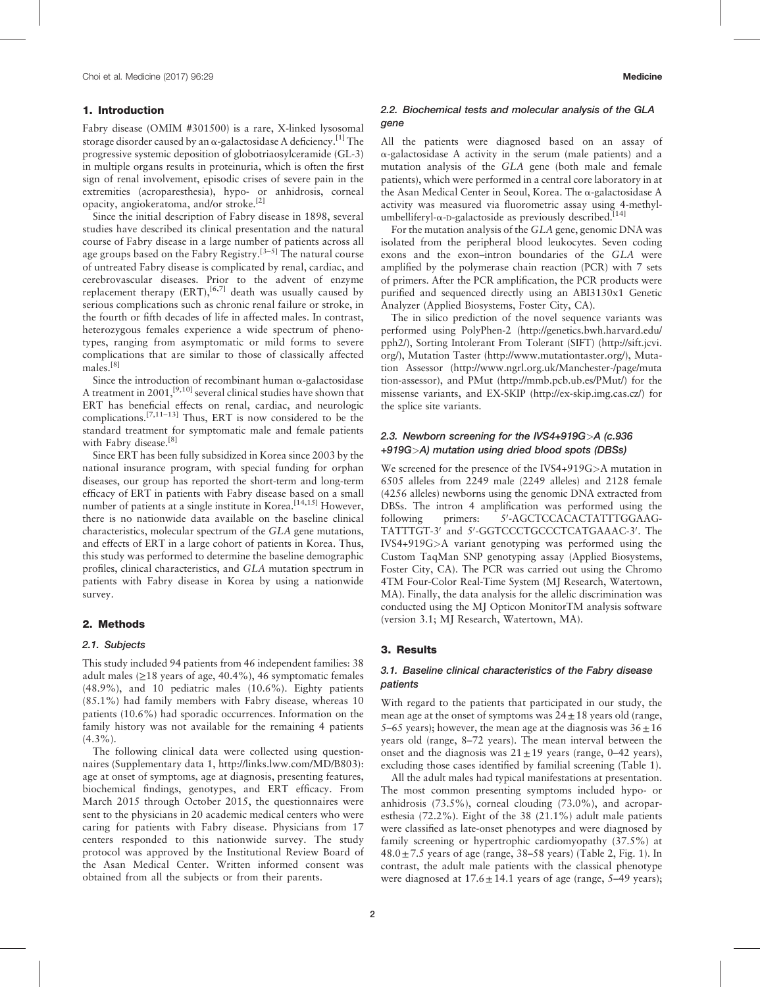### 1. Introduction

Fabry disease (OMIM #301500) is a rare, X-linked lysosomal storage disorder caused by an  $\alpha$ -galactosidase A deficiency.<sup>[\[1\]](#page-4-0)</sup> The progressive systemic deposition of globotriaosylceramide (GL-3) in multiple organs results in proteinuria, which is often the first sign of renal involvement, episodic crises of severe pain in the extremities (acroparesthesia), hypo- or anhidrosis, corneal opacity, angiokeratoma, and/or stroke.[\[2\]](#page-4-0)

Since the initial description of Fabry disease in 1898, several studies have described its clinical presentation and the natural course of Fabry disease in a large number of patients across all age groups based on the Fabry Registry.<sup>[3-5]</sup> The natural course of untreated Fabry disease is complicated by renal, cardiac, and cerebrovascular diseases. Prior to the advent of enzyme replacement therapy  $(ERT)$ ,  $[6,7]$  death was usually caused by serious complications such as chronic renal failure or stroke, in the fourth or fifth decades of life in affected males. In contrast, heterozygous females experience a wide spectrum of phenotypes, ranging from asymptomatic or mild forms to severe complications that are similar to those of classically affected males.[\[8\]](#page-4-0)

Since the introduction of recombinant human  $\alpha$ -galactosidase A treatment in 2001,<sup>[9,10]</sup> several clinical studies have shown that ERT has beneficial effects on renal, cardiac, and neurologic complications.[7,11–13] Thus, ERT is now considered to be the standard treatment for symptomatic male and female patients with Fabry disease.<sup>[\[8\]](#page-4-0)</sup>

Since ERT has been fully subsidized in Korea since 2003 by the national insurance program, with special funding for orphan diseases, our group has reported the short-term and long-term efficacy of ERT in patients with Fabry disease based on a small number of patients at a single institute in Korea.<sup>[14,15]</sup> However, there is no nationwide data available on the baseline clinical characteristics, molecular spectrum of the GLA gene mutations, and effects of ERT in a large cohort of patients in Korea. Thus, this study was performed to determine the baseline demographic profiles, clinical characteristics, and GLA mutation spectrum in patients with Fabry disease in Korea by using a nationwide survey.

# 2. Methods

#### 2.1. Subjects

This study included 94 patients from 46 independent families: 38 adult males  $(\geq 18$  years of age, 40.4%), 46 symptomatic females (48.9%), and 10 pediatric males (10.6%). Eighty patients (85.1%) had family members with Fabry disease, whereas 10 patients (10.6%) had sporadic occurrences. Information on the family history was not available for the remaining 4 patients  $(4.3\%)$ .

The following clinical data were collected using questionnaires (Supplementary data 1, [http://links.lww.com/MD/B803\)](http://links.lww.com/MD/B803): age at onset of symptoms, age at diagnosis, presenting features, biochemical findings, genotypes, and ERT efficacy. From March 2015 through October 2015, the questionnaires were sent to the physicians in 20 academic medical centers who were caring for patients with Fabry disease. Physicians from 17 centers responded to this nationwide survey. The study protocol was approved by the Institutional Review Board of the Asan Medical Center. Written informed consent was obtained from all the subjects or from their parents.

# 2.2. Biochemical tests and molecular analysis of the GLA gene

All the patients were diagnosed based on an assay of  $\alpha$ -galactosidase A activity in the serum (male patients) and a mutation analysis of the GLA gene (both male and female patients), which were performed in a central core laboratory in at the Asan Medical Center in Seoul, Korea. The a-galactosidase A activity was measured via fluorometric assay using 4-methylumbelliferyl- $\alpha$ -D-galactoside as previously described.<sup>[\[14\]](#page-4-0)</sup>

For the mutation analysis of the GLA gene, genomic DNA was isolated from the peripheral blood leukocytes. Seven coding exons and the exon–intron boundaries of the GLA were amplified by the polymerase chain reaction (PCR) with 7 sets of primers. After the PCR amplification, the PCR products were purified and sequenced directly using an ABI3130x1 Genetic Analyzer (Applied Biosystems, Foster City, CA).

The in silico prediction of the novel sequence variants was performed using PolyPhen-2 [\(http://genetics.bwh.harvard.edu/](http://genetics.bwh.harvard.edu/pph2/) [pph2/](http://genetics.bwh.harvard.edu/pph2/)), Sorting Intolerant From Tolerant (SIFT) [\(http://sift.jcvi.](http://sift.jcvi.org/) [org/](http://sift.jcvi.org/)), Mutation Taster ([http://www.mutationtaster.org/\)](http://www.mutationtaster.org/), Mutation Assessor [\(http://www.ngrl.org.uk/Manchester-/page/muta](http://www.ngrl.org.uk/Manchester-/page/mutation-assessor) [tion-assessor\)](http://www.ngrl.org.uk/Manchester-/page/mutation-assessor), and PMut [\(http://mmb.pcb.ub.es/PMut/\)](http://mmb.pcb.ub.es/PMut/) for the missense variants, and EX-SKIP ([http://ex-skip.img.cas.cz/\)](http://ex-skip.img.cas.cz/) for the splice site variants.

# 2.3. Newborn screening for the IVS4+919G>A (c.936 +919G>A) mutation using dried blood spots (DBSs)

We screened for the presence of the IVS4+919G>A mutation in 6505 alleles from 2249 male (2249 alleles) and 2128 female (4256 alleles) newborns using the genomic DNA extracted from DBSs. The intron 4 amplification was performed using the following primers: -AGCTCCACACTATTTGGAAG-TATTTGT-3' and 5'-GGTCCCTGCCCTCATGAAAC-3'. The IVS4+919G>A variant genotyping was performed using the Custom TaqMan SNP genotyping assay (Applied Biosystems, Foster City, CA). The PCR was carried out using the Chromo 4TM Four-Color Real-Time System (MJ Research, Watertown, MA). Finally, the data analysis for the allelic discrimination was conducted using the MJ Opticon MonitorTM analysis software (version 3.1; MJ Research, Watertown, MA).

## 3. Results

# 3.1. Baseline clinical characteristics of the Fabry disease patients

With regard to the patients that participated in our study, the mean age at the onset of symptoms was  $24 \pm 18$  years old (range, 5–65 years); however, the mean age at the diagnosis was  $36 \pm 16$ years old (range, 8–72 years). The mean interval between the onset and the diagnosis was  $21 \pm 19$  years (range, 0–42 years), excluding those cases identified by familial screening [\(Table 1\)](#page-2-0).

All the adult males had typical manifestations at presentation. The most common presenting symptoms included hypo- or anhidrosis (73.5%), corneal clouding (73.0%), and acroparesthesia (72.2%). Eight of the 38 (21.1%) adult male patients were classified as late-onset phenotypes and were diagnosed by family screening or hypertrophic cardiomyopathy (37.5%) at  $48.0 \pm 7.5$  years of age (range, 38–58 years) [\(Table 2](#page-2-0), [Fig. 1](#page-2-0)). In contrast, the adult male patients with the classical phenotype were diagnosed at  $17.6 \pm 14.1$  years of age (range, 5–49 years);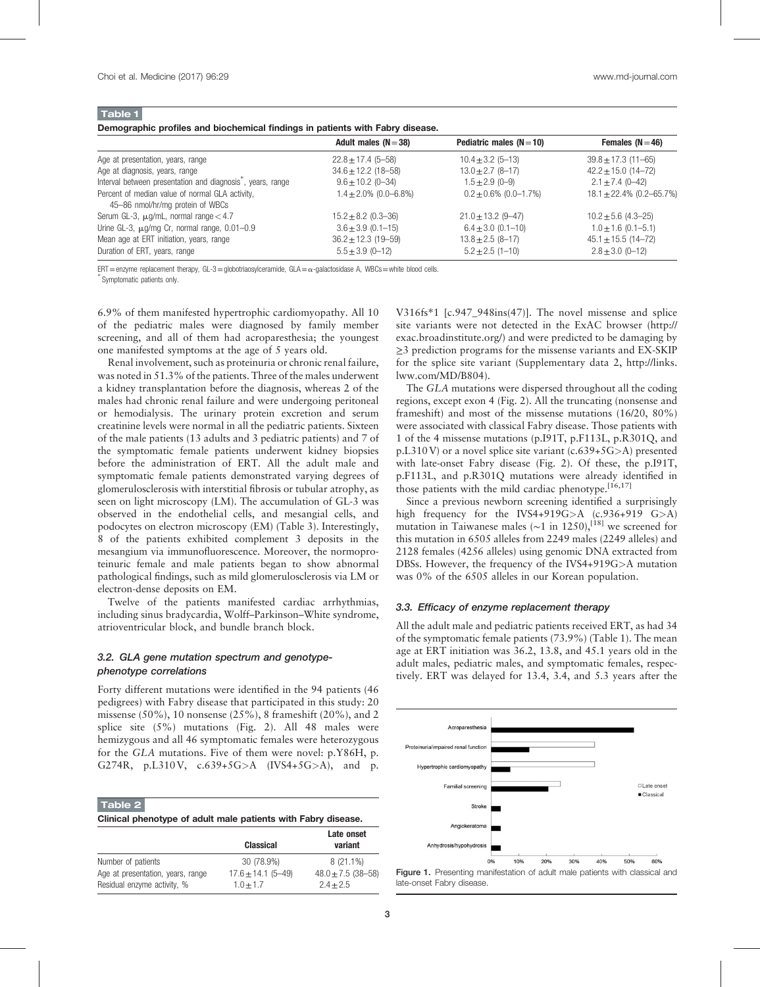<span id="page-2-0"></span>Table 1

| Demographic profiles and biochemical findings in patients with Fabry disease. |                            |                            |                               |
|-------------------------------------------------------------------------------|----------------------------|----------------------------|-------------------------------|
|                                                                               | Adult males ( $N = 38$ )   | Pediatric males $(N=10)$   | Females $(N=46)$              |
| Age at presentation, years, range                                             | $22.8 \pm 17.4$ (5-58)     | $10.4 \pm 3.2$ (5-13)      | $39.8 \pm 17.3$ (11-65)       |
| Age at diagnosis, years, range                                                | $34.6 \pm 12.2$ (18-58)    | $13.0 \pm 2.7$ (8-17)      | $42.2 \pm 15.0$ (14-72)       |
| Interval between presentation and diagnosis, years, range                     | $9.6 \pm 10.2$ (0-34)      | $1.5 \pm 2.9$ (0-9)        | $2.1 \pm 7.4$ (0-42)          |
| Percent of median value of normal GLA activity,                               | $1.4 \pm 2.0\%$ (0.0–6.8%) | $0.2 \pm 0.6\%$ (0.0-1.7%) | $18.1 \pm 22.4\%$ (0.2-65.7%) |
| 45-86 nmol/hr/mg protein of WBCs                                              |                            |                            |                               |
| Serum GL-3, $\mu$ g/mL, normal range $<$ 4.7                                  | $15.2 \pm 8.2$ (0.3-36)    | $21.0 \pm 13.2$ (9-47)     | $10.2 \pm 5.6$ (4.3-25)       |
| Urine GL-3, $\mu$ g/mg Cr, normal range, 0.01-0.9                             | $3.6 \pm 3.9$ (0.1-15)     | $6.4 \pm 3.0$ (0.1-10)     | $1.0 \pm 1.6$ (0.1-5.1)       |
| Mean age at ERT initiation, years, range                                      | $36.2 \pm 12.3$ (19-59)    | $13.8 \pm 2.5 (8 - 17)$    | $45.1 \pm 15.5$ (14-72)       |
| Duration of ERT, years, range                                                 | $5.5 \pm 3.9$ (0-12)       | $5.2 \pm 2.5$ (1-10)       | $2.8 \pm 3.0$ (0-12)          |

ERT=enzyme replacement therapy, GL-3=globotriaosylceramide, GLA=α-galactosidase A, WBCs=white blood cells.

Symptomatic patients only.

6.9% of them manifested hypertrophic cardiomyopathy. All 10 of the pediatric males were diagnosed by family member screening, and all of them had acroparesthesia; the youngest one manifested symptoms at the age of 5 years old.

Renal involvement, such as proteinuria or chronic renal failure, was noted in 51.3% of the patients. Three of the males underwent a kidney transplantation before the diagnosis, whereas 2 of the males had chronic renal failure and were undergoing peritoneal or hemodialysis. The urinary protein excretion and serum creatinine levels were normal in all the pediatric patients. Sixteen of the male patients (13 adults and 3 pediatric patients) and 7 of the symptomatic female patients underwent kidney biopsies before the administration of ERT. All the adult male and symptomatic female patients demonstrated varying degrees of glomerulosclerosis with interstitial fibrosis or tubular atrophy, as seen on light microscopy (LM). The accumulation of GL-3 was observed in the endothelial cells, and mesangial cells, and podocytes on electron microscopy (EM) [\(Table 3\)](#page-3-0). Interestingly, 8 of the patients exhibited complement 3 deposits in the mesangium via immunofluorescence. Moreover, the normoproteinuric female and male patients began to show abnormal pathological findings, such as mild glomerulosclerosis via LM or electron-dense deposits on EM.

Twelve of the patients manifested cardiac arrhythmias, including sinus bradycardia, Wolff–Parkinson–White syndrome, atrioventricular block, and bundle branch block.

# 3.2. GLA gene mutation spectrum and genotypephenotype correlations

Forty different mutations were identified in the 94 patients (46 pedigrees) with Fabry disease that participated in this study: 20 missense (50%), 10 nonsense (25%), 8 frameshift (20%), and 2 splice site  $(5\%)$  mutations ([Fig. 2](#page-3-0)). All 48 males were hemizygous and all 46 symptomatic females were heterozygous for the GLA mutations. Five of them were novel: p.Y86H, p. G274R, p.L310 V, c.639+5G>A (IVS4+5G>A), and p.

| Table 2 |                                                               |
|---------|---------------------------------------------------------------|
|         | Clinical phenotype of adult male patients with Fabry disease. |

|                                                                  | <b>Classical</b>                        | Late onset<br>variant                 |
|------------------------------------------------------------------|-----------------------------------------|---------------------------------------|
| Number of patients                                               | 30 (78.9%)                              | $8(21.1\%)$                           |
| Age at presentation, years, range<br>Residual enzyme activity, % | $17.6 \pm 14.1 (5 - 49)$<br>$1.0 + 1.7$ | $48.0 \pm 7.5$ (38-58)<br>$2.4 + 2.5$ |

V316fs∗1 [c.947\_948ins(47)]. The novel missense and splice site variants were not detected in the ExAC browser ([http://](http://exac.broadinstitute.org/) [exac.broadinstitute.org/\)](http://exac.broadinstitute.org/) and were predicted to be damaging by ≥3 prediction programs for the missense variants and EX-SKIP for the splice site variant (Supplementary data 2, [http://links.](http://links.lww.com/MD/B804) [lww.com/MD/B804\)](http://links.lww.com/MD/B804).

The GLA mutations were dispersed throughout all the coding regions, except exon 4 [\(Fig. 2](#page-3-0)). All the truncating (nonsense and frameshift) and most of the missense mutations (16/20, 80%) were associated with classical Fabry disease. Those patients with 1 of the 4 missense mutations (p.I91T, p.F113L, p.R301Q, and p.L310 V) or a novel splice site variant (c.639+5G>A) presented with late-onset Fabry disease ([Fig. 2\)](#page-3-0). Of these, the p.I91T, p.F113L, and p.R301Q mutations were already identified in those patients with the mild cardiac phenotype.<sup>[16,17]</sup>

Since a previous newborn screening identified a surprisingly high frequency for the IVS4+919G>A  $(c.936+919 G>A)$ mutation in Taiwanese males (~1 in 1250),<sup>[\[18\]](#page-4-0)</sup> we screened for this mutation in 6505 alleles from 2249 males (2249 alleles) and 2128 females (4256 alleles) using genomic DNA extracted from DBSs. However, the frequency of the IVS4+919G>A mutation was 0% of the 6505 alleles in our Korean population.

#### 3.3. Efficacy of enzyme replacement therapy

All the adult male and pediatric patients received ERT, as had 34 of the symptomatic female patients (73.9%) (Table 1). The mean age at ERT initiation was 36.2, 13.8, and 45.1 years old in the adult males, pediatric males, and symptomatic females, respectively. ERT was delayed for 13.4, 3.4, and 5.3 years after the



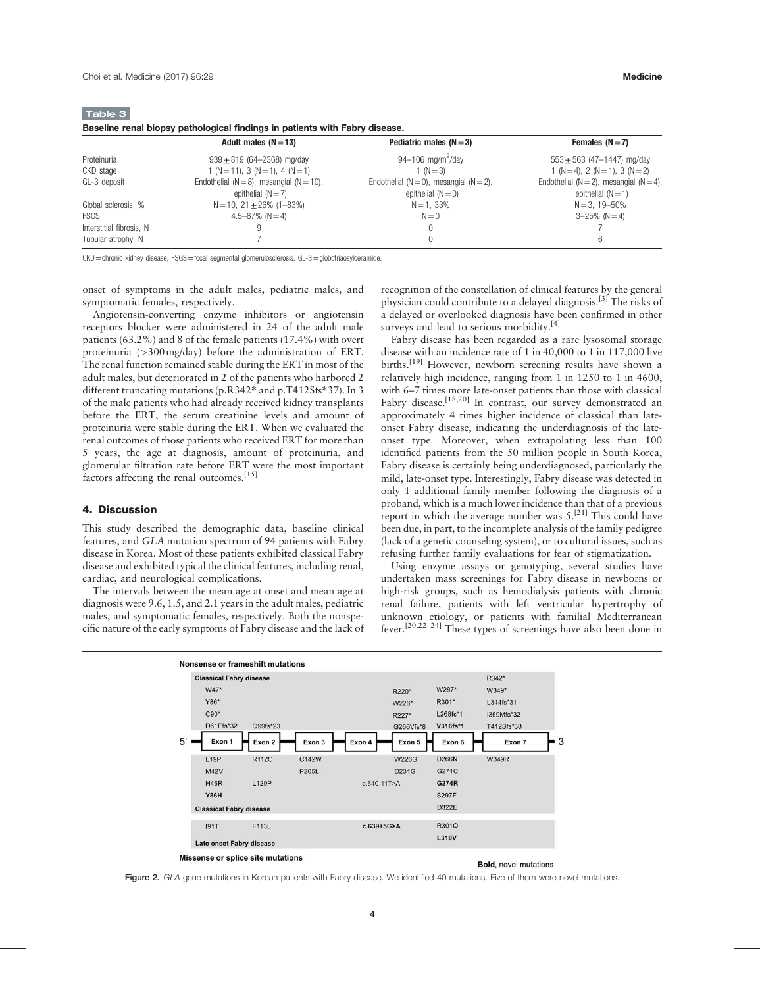<span id="page-3-0"></span>

| Baseline renal biopsy pathological findings in patients with Fabry disease. |  |  |  |
|-----------------------------------------------------------------------------|--|--|--|
|-----------------------------------------------------------------------------|--|--|--|

| Adult males $(N=13)$             | Pediatric males $(N=3)$                          | Females $(N=7)$                                 |
|----------------------------------|--------------------------------------------------|-------------------------------------------------|
| $939 \pm 819$ (64-2368) mg/day   | 94-106 mg/m <sup>2</sup> /day                    | $553 \pm 563$ (47-1447) mg/day                  |
| $(N=11), 3(N=1), 4(N=1)$         | 1 ( $N = 3$ )                                    | $1(N=4)$ , $2(N=1)$ , $3(N=2)$                  |
|                                  | Endothelial ( $N = 0$ ), mesangial ( $N = 2$ ),  | Endothelial ( $N = 2$ ), mesangial ( $N = 4$ ), |
| epithelial $(N=7)$               | epithelial $(N=0)$                               | epithelial $(N=1)$                              |
| $N = 10$ , $21 \pm 26\%$ (1-83%) | $N = 1,33\%$                                     | $N = 3, 19 - 50\%$                              |
| 4.5–67% (N = 4)                  | $N=0$                                            | $3 - 25\%$ (N = 4)                              |
|                                  |                                                  |                                                 |
|                                  |                                                  | 6                                               |
|                                  | Endothelial ( $N = 8$ ), mesangial ( $N = 10$ ), |                                                 |

CKD = chronic kidney disease, FSGS = focal segmental glomerulosclerosis, GL-3 = globotriaosylceramide.

onset of symptoms in the adult males, pediatric males, and symptomatic females, respectively.

Angiotensin-converting enzyme inhibitors or angiotensin receptors blocker were administered in 24 of the adult male patients (63.2%) and 8 of the female patients (17.4%) with overt proteinuria (>300mg/day) before the administration of ERT. The renal function remained stable during the ERT in most of the adult males, but deteriorated in 2 of the patients who harbored 2 different truncating mutations (p.R342∗ and p.T412Sfs∗37). In 3 of the male patients who had already received kidney transplants before the ERT, the serum creatinine levels and amount of proteinuria were stable during the ERT. When we evaluated the renal outcomes of those patients who received ERT for more than 5 years, the age at diagnosis, amount of proteinuria, and glomerular filtration rate before ERT were the most important factors affecting the renal outcomes.<sup>[\[15\]](#page-4-0)</sup>

#### 4. Discussion

This study described the demographic data, baseline clinical features, and GLA mutation spectrum of 94 patients with Fabry disease in Korea. Most of these patients exhibited classical Fabry disease and exhibited typical the clinical features, including renal, cardiac, and neurological complications.

The intervals between the mean age at onset and mean age at diagnosis were 9.6, 1.5, and 2.1 years in the adult males, pediatric males, and symptomatic females, respectively. Both the nonspecific nature of the early symptoms of Fabry disease and the lack of recognition of the constellation of clinical features by the general physician could contribute to a delayed diagnosis.<sup>[\[3\]](#page-4-0)</sup> The risks of a delayed or overlooked diagnosis have been confirmed in other surveys and lead to serious morbidity.<sup>[\[4\]](#page-4-0)</sup>

Fabry disease has been regarded as a rare lysosomal storage disease with an incidence rate of 1 in 40,000 to 1 in 117,000 live births.<sup>[\[19\]](#page-4-0)</sup> However, newborn screening results have shown a relatively high incidence, ranging from 1 in 1250 to 1 in 4600, with 6–7 times more late-onset patients than those with classical Fabry disease.<sup>[18,20]</sup> In contrast, our survey demonstrated an approximately 4 times higher incidence of classical than lateonset Fabry disease, indicating the underdiagnosis of the lateonset type. Moreover, when extrapolating less than 100 identified patients from the 50 million people in South Korea, Fabry disease is certainly being underdiagnosed, particularly the mild, late-onset type. Interestingly, Fabry disease was detected in only 1 additional family member following the diagnosis of a proband, which is a much lower incidence than that of a previous report in which the average number was  $5^{[21]}$  $5^{[21]}$  $5^{[21]}$  This could have been due, in part, to the incomplete analysis of the family pedigree (lack of a genetic counseling system), or to cultural issues, such as refusing further family evaluations for fear of stigmatization.

Using enzyme assays or genotyping, several studies have undertaken mass screenings for Fabry disease in newborns or high-risk groups, such as hemodialysis patients with chronic renal failure, patients with left ventricular hypertrophy of unknown etiology, or patients with familial Mediterranean fever.[20,22–24] These types of screenings have also been done in



Figure 2. GLA gene mutations in Korean patients with Fabry disease. We identified 40 mutations. Five of them were novel mutations.